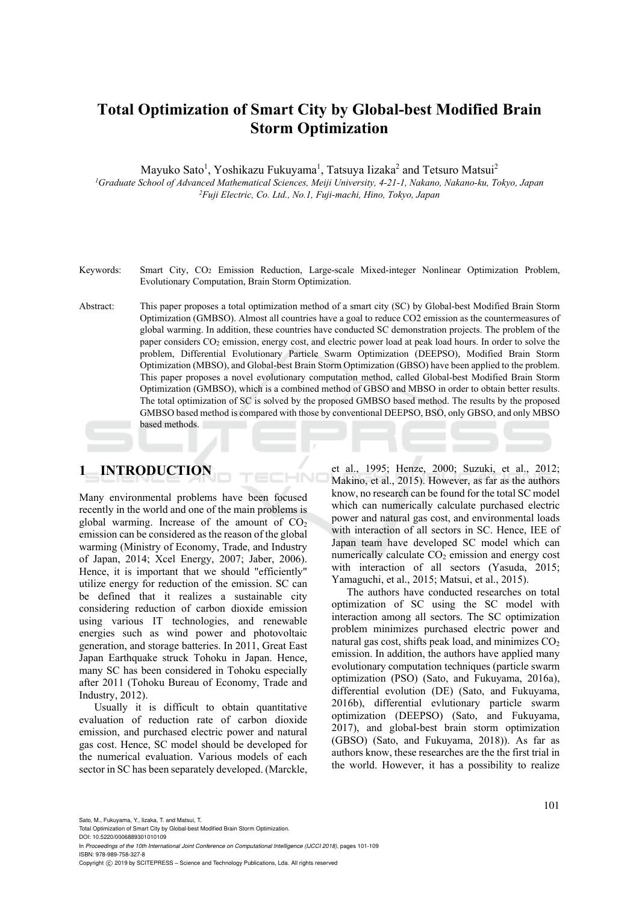# **Total Optimization of Smart City by Global-best Modified Brain Storm Optimization**

Mayuko Sato<sup>1</sup>, Yoshikazu Fukuyama<sup>1</sup>, Tatsuya Iizaka<sup>2</sup> and Tetsuro Matsui<sup>2</sup>

<sup>1</sup>Graduate School of Advanced Mathematical Sciences, Meiji University, 4-21-1, Nakano, Nakano-ku, Tokyo, Japan *Fuji Electric, Co. Ltd., No.1, Fuji-machi, Hino, Tokyo, Japan* 

- Keywords: Smart City, CO<sub>2</sub> Emission Reduction, Large-scale Mixed-integer Nonlinear Optimization Problem, Evolutionary Computation, Brain Storm Optimization.
- Abstract: This paper proposes a total optimization method of a smart city (SC) by Global-best Modified Brain Storm Optimization (GMBSO). Almost all countries have a goal to reduce CO2 emission as the countermeasures of global warming. In addition, these countries have conducted SC demonstration projects. The problem of the paper considers CO2 emission, energy cost, and electric power load at peak load hours. In order to solve the problem, Differential Evolutionary Particle Swarm Optimization (DEEPSO), Modified Brain Storm Optimization (MBSO), and Global-best Brain Storm Optimization (GBSO) have been applied to the problem. This paper proposes a novel evolutionary computation method, called Global-best Modified Brain Storm Optimization (GMBSO), which is a combined method of GBSO and MBSO in order to obtain better results. The total optimization of SC is solved by the proposed GMBSO based method. The results by the proposed GMBSO based method is compared with those by conventional DEEPSO, BSO, only GBSO, and only MBSO based methods.

## **1 INTRODUCTION**

Many environmental problems have been focused recently in the world and one of the main problems is global warming. Increase of the amount of  $CO<sub>2</sub>$ emission can be considered as the reason of the global warming (Ministry of Economy, Trade, and Industry of Japan, 2014; Xcel Energy, 2007; Jaber, 2006). Hence, it is important that we should "efficiently" utilize energy for reduction of the emission. SC can be defined that it realizes a sustainable city considering reduction of carbon dioxide emission using various IT technologies, and renewable energies such as wind power and photovoltaic generation, and storage batteries. In 2011, Great East Japan Earthquake struck Tohoku in Japan. Hence, many SC has been considered in Tohoku especially after 2011 (Tohoku Bureau of Economy, Trade and Industry, 2012).

Usually it is difficult to obtain quantitative evaluation of reduction rate of carbon dioxide emission, and purchased electric power and natural gas cost. Hence, SC model should be developed for the numerical evaluation. Various models of each sector in SC has been separately developed. (Marckle,

et al., 1995; Henze, 2000; Suzuki, et al., 2012; Makino, et al., 2015). However, as far as the authors know, no research can be found for the total SC model which can numerically calculate purchased electric power and natural gas cost, and environmental loads with interaction of all sectors in SC. Hence, IEE of Japan team have developed SC model which can numerically calculate  $CO<sub>2</sub>$  emission and energy cost with interaction of all sectors (Yasuda, 2015; Yamaguchi, et al., 2015; Matsui, et al., 2015).

The authors have conducted researches on total optimization of SC using the SC model with interaction among all sectors. The SC optimization problem minimizes purchased electric power and natural gas cost, shifts peak load, and minimizes  $CO<sub>2</sub>$ emission. In addition, the authors have applied many evolutionary computation techniques (particle swarm optimization (PSO) (Sato, and Fukuyama, 2016a), differential evolution (DE) (Sato, and Fukuyama, 2016b), differential evlutionary particle swarm optimization (DEEPSO) (Sato, and Fukuyama, 2017), and global-best brain storm optimization (GBSO) (Sato, and Fukuyama, 2018)). As far as authors know, these researches are the the first trial in the world. However, it has a possibility to realize

Sato, M., Fukuyama, Y., Iizaka, T. and Matsui, T.

Total Optimization of Smart City by Global-best Modified Brain Storm Optimization.

DOI: 10.5220/0006889301010109 In *Proceedings of the 10th International Joint Conference on Computational Intelligence (IJCCI 2018)*, pages 101-109 ISBN: 978-989-758-327-8

Copyright (C) 2019 by SCITEPRESS - Science and Technology Publications, Lda. All rights reserved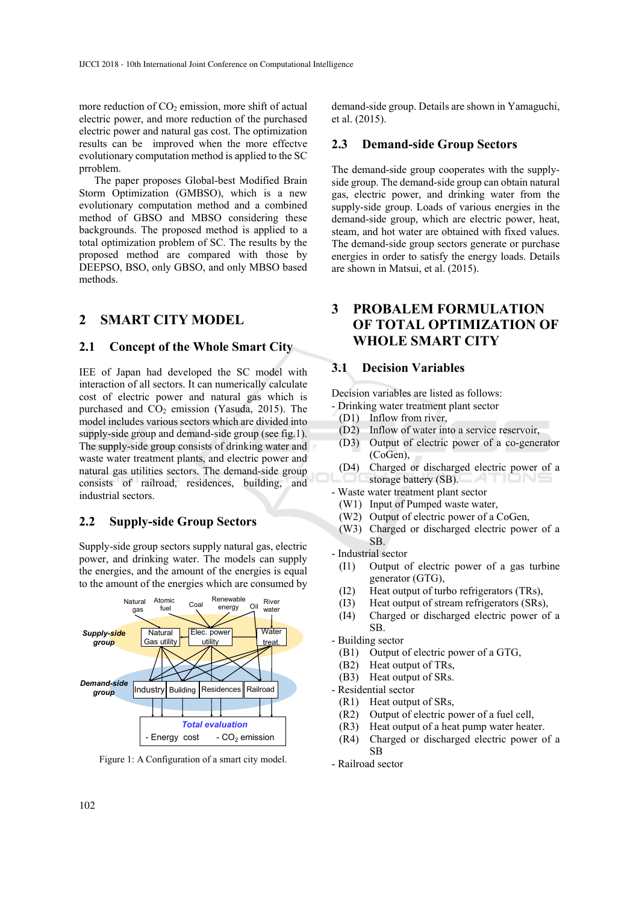more reduction of  $CO<sub>2</sub>$  emission, more shift of actual electric power, and more reduction of the purchased electric power and natural gas cost. The optimization results can be improved when the more effectve evolutionary computation method is applied to the SC prroblem.

The paper proposes Global-best Modified Brain Storm Optimization (GMBSO), which is a new evolutionary computation method and a combined method of GBSO and MBSO considering these backgrounds. The proposed method is applied to a total optimization problem of SC. The results by the proposed method are compared with those by DEEPSO, BSO, only GBSO, and only MBSO based methods.

## **2 SMART CITY MODEL**

#### **2.1 Concept of the Whole Smart City**

IEE of Japan had developed the SC model with interaction of all sectors. It can numerically calculate cost of electric power and natural gas which is purchased and  $CO<sub>2</sub>$  emission (Yasuda, 2015). The model includes various sectors which are divided into supply-side group and demand-side group (see fig.1). The supply-side group consists of drinking water and waste water treatment plants, and electric power and natural gas utilities sectors. The demand-side group consists of railroad, residences, building, and industrial sectors.

### **2.2 Supply-side Group Sectors**

Supply-side group sectors supply natural gas, electric power, and drinking water. The models can supply the energies, and the amount of the energies is equal to the amount of the energies which are consumed by



Figure 1: A Configuration of a smart city model.

demand-side group. Details are shown in Yamaguchi, et al. (2015).

### **2.3 Demand-side Group Sectors**

The demand-side group cooperates with the supplyside group. The demand-side group can obtain natural gas, electric power, and drinking water from the supply-side group. Loads of various energies in the demand-side group, which are electric power, heat, steam, and hot water are obtained with fixed values. The demand-side group sectors generate or purchase energies in order to satisfy the energy loads. Details are shown in Matsui, et al. (2015).

## **3 PROBALEM FORMULATION OF TOTAL OPTIMIZATION OF WHOLE SMART CITY**

## **3.1 Decision Variables**

Decision variables are listed as follows:

- Drinking water treatment plant sector
- (D1) Inflow from river,
- (D2) Inflow of water into a service reservoir,
- (D3) Output of electric power of a co-generator (CoGen),
- (D4) Charged or discharged electric power of a storage battery (SB).
- Waste water treatment plant sector
	- (W1) Input of Pumped waste water,
	- (W2) Output of electric power of a CoGen,
	- (W3) Charged or discharged electric power of a SB.

- Industrial sector

- (I1) Output of electric power of a gas turbine generator (GTG),
- (I2) Heat output of turbo refrigerators (TRs),
- (I3) Heat output of stream refrigerators (SRs),
- (I4) Charged or discharged electric power of a SB.

- Building sector

- (B1) Output of electric power of a GTG,
- (B2) Heat output of TRs,
- (B3) Heat output of SRs.

- Residential sector

- (R1) Heat output of SRs,
- (R2) Output of electric power of a fuel cell,
- (R3) Heat output of a heat pump water heater.
- (R4) Charged or discharged electric power of a SB
- Railroad sector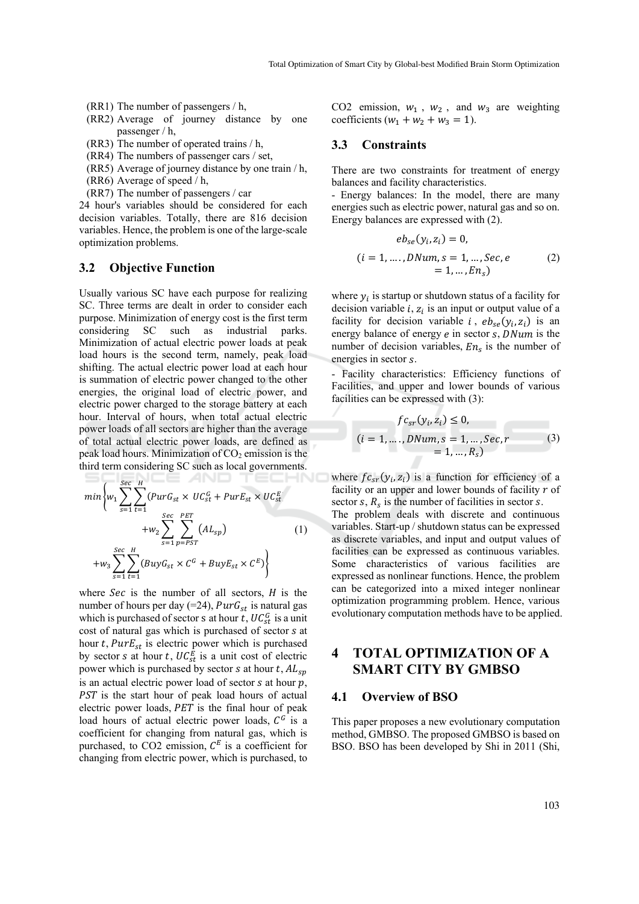- (RR1) The number of passengers / h,
- (RR2) Average of journey distance by one passenger / h,
- (RR3) The number of operated trains / h,
- (RR4) The numbers of passenger cars / set,
- (RR5) Average of journey distance by one train / h,
- (RR6) Average of speed / h,
- (RR7) The number of passengers / car

24 hour's variables should be considered for each decision variables. Totally, there are 816 decision variables. Hence, the problem is one of the large-scale optimization problems.

#### **3.2 Objective Function**

Usually various SC have each purpose for realizing SC. Three terms are dealt in order to consider each purpose. Minimization of energy cost is the first term considering SC such as industrial parks. Minimization of actual electric power loads at peak load hours is the second term, namely, peak load shifting. The actual electric power load at each hour is summation of electric power changed to the other energies, the original load of electric power, and electric power charged to the storage battery at each hour. Interval of hours, when total actual electric power loads of all sectors are higher than the average of total actual electric power loads, are defined as peak load hours. Minimization of  $CO<sub>2</sub>$  emission is the third term considering SC such as local governments.

$$
\min \left\{ w_1 \sum_{s=1}^{Sec} \sum_{t=1}^H (PurG_{st} \times UC_{st}^G + PurE_{st} \times UC_{st}^E) + w_2 \sum_{s=1}^{Sec} \sum_{p=PST}^{PET} (AL_{sp}) \right\}
$$
\n
$$
+ w_3 \sum_{s=1}^{Sec} \sum_{t=1}^H (BuyG_{st} \times C^G + BuyE_{st} \times C^E) \right\}
$$
\n(1)

п

where  $Sec$  is the number of all sectors,  $H$  is the number of hours per day (=24),  $PurG_{st}$  is natural gas which is purchased of sector s at hour  $t$ ,  $UC_{st}^G$  is a unit cost of natural gas which is purchased of sector s at hour t,  $PurE_{st}$  is electric power which is purchased by sector s at hour t,  $UC_{st}^E$  is a unit cost of electric power which is purchased by sector s at hour  $t$ ,  $AL_{sp}$ is an actual electric power load of sector  $s$  at hour  $p$ , PST is the start hour of peak load hours of actual electric power loads, PET is the final hour of peak load hours of actual electric power loads,  $C<sup>G</sup>$  is a coefficient for changing from natural gas, which is purchased, to CO2 emission,  $C<sup>E</sup>$  is a coefficient for changing from electric power, which is purchased, to

CO2 emission,  $w_1$ ,  $w_2$ , and  $w_3$  are weighting coefficients  $(w_1 + w_2 + w_3 = 1)$ .

#### **3.3 Constraints**

There are two constraints for treatment of energy balances and facility characteristics.

- Energy balances: In the model, there are many energies such as electric power, natural gas and so on. Energy balances are expressed with (2).

$$
eb_{se}(y_i, z_i) = 0,
$$
  
(*i* = 1, ..., *DNum*, *s* = 1, ..., Sec, *e*  
= 1, ..., En<sub>s</sub>) (2)

where  $y_i$  is startup or shutdown status of a facility for decision variable  $i$ ,  $z_i$  is an input or output value of a facility for decision variable  $i$ ,  $eb_{se}(y_i, z_i)$  is an energy balance of energy  $e$  in sector  $s$ ,  $DNum$  is the number of decision variables,  $En_s$  is the number of energies in sector  $s$ .

- Facility characteristics: Efficiency functions of Facilities, and upper and lower bounds of various facilities can be expressed with (3):

$$
fc_{sr}(y_i, z_i) \le 0,(i = 1, ..., DNum, s = 1, ..., Sec, r= 1, ..., Rs)
$$
 (3)

where  $fc_{sr}(y_i, z_i)$  is a function for efficiency of a facility or an upper and lower bounds of facility  $r$  of sector  $s$ ,  $R_s$  is the number of facilities in sector  $s$ .

The problem deals with discrete and continuous variables. Start-up / shutdown status can be expressed as discrete variables, and input and output values of facilities can be expressed as continuous variables. Some characteristics of various facilities are expressed as nonlinear functions. Hence, the problem can be categorized into a mixed integer nonlinear optimization programming problem. Hence, various evolutionary computation methods have to be applied.

## **4 TOTAL OPTIMIZATION OF A SMART CITY BY GMBSO**

#### **4.1 Overview of BSO**

This paper proposes a new evolutionary computation method, GMBSO. The proposed GMBSO is based on BSO. BSO has been developed by Shi in 2011 (Shi,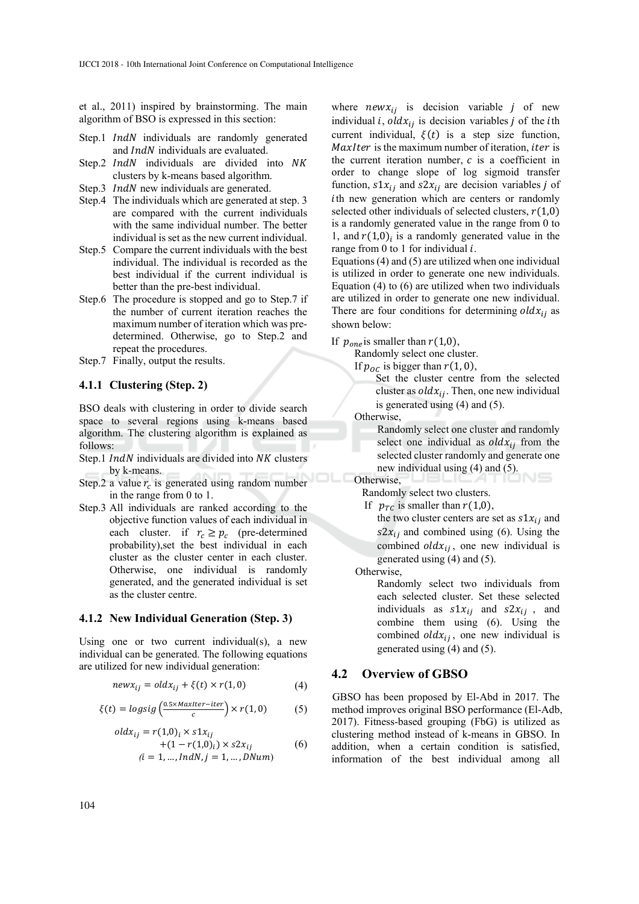et al., 2011) inspired by brainstorming. The main algorithm of BSO is expressed in this section:

- Step.1 *IndN* individuals are randomly generated and  $IndN$  individuals are evaluated.
- Step.2 IndN individuals are divided into NK clusters by k-means based algorithm.
- Step.3 *IndN* new individuals are generated.
- Step.4 The individuals which are generated at step. 3 are compared with the current individuals with the same individual number. The better individual is set as the new current individual.
- Step.5 Compare the current individuals with the best individual. The individual is recorded as the best individual if the current individual is better than the pre-best individual.
- Step.6 The procedure is stopped and go to Step.7 if the number of current iteration reaches the maximum number of iteration which was predetermined. Otherwise, go to Step.2 and repeat the procedures.
- Step.7 Finally, output the results.

#### **4.1.1 Clustering (Step. 2)**

BSO deals with clustering in order to divide search space to several regions using k-means based algorithm. The clustering algorithm is explained as follows:

- Step.1 *IndN* individuals are divided into NK clusters by k-means.
- Step.2 a value  $r_c$  is generated using random number in the range from 0 to 1.
- Step.3 All individuals are ranked according to the objective function values of each individual in each cluster. if  $r_c \geq p_c$  (pre-determined probability),set the best individual in each cluster as the cluster center in each cluster. Otherwise, one individual is randomly generated, and the generated individual is set as the cluster centre.

#### **4.1.2 New Individual Generation (Step. 3)**

Using one or two current individual(s), a new individual can be generated. The following equations are utilized for new individual generation:

$$
newx_{ij} = oldx_{ij} + \xi(t) \times r(1,0)
$$
 (4)

$$
\xi(t) = \log sig\left(\frac{0.5 \times \text{MaxIter}-iter}{c}\right) \times r(1,0) \tag{5}
$$

$$
oldx_{ij} = r(1,0)i \times s1x_{ij}
$$
  
+ (1 - r(1,0)<sub>i</sub>) \times s2x<sub>ij</sub> (6)  
(i = 1, ..., IndN, j = 1, ..., DNum)

where  $newx_{ij}$  is decision variable *j* of new individual *i*,  $oldx_{ij}$  is decision variables *j* of the *i*th current individual,  $\xi(t)$  is a step size function, MaxIter is the maximum number of iteration, *iter* is the current iteration number,  $c$  is a coefficient in order to change slope of log sigmoid transfer function,  $s1x_{ij}$  and  $s2x_{ij}$  are decision variables j of ith new generation which are centers or randomly selected other individuals of selected clusters,  $r(1,0)$ is a randomly generated value in the range from 0 to 1, and  $r(1,0)$  is a randomly generated value in the range from 0 to 1 for individual  $i$ .

Equations (4) and (5) are utilized when one individual is utilized in order to generate one new individuals. Equation (4) to (6) are utilized when two individuals are utilized in order to generate one new individual. There are four conditions for determining  $\partial dx_{ii}$  as shown below:

If  $p_{one}$  is smaller than  $r(1,0)$ ,

Randomly select one cluster.

If  $p_{0C}$  is bigger than  $r(1, 0)$ ,

Set the cluster centre from the selected cluster as  $oldx_{ij}$ . Then, one new individual is generated using (4) and (5).

Otherwise,

Randomly select one cluster and randomly select one individual as  $\partial dx_{ii}$  from the selected cluster randomly and generate one new individual using (4) and (5).

Otherwise,

Randomly select two clusters.

If  $p_{TC}$  is smaller than  $r(1,0)$ , the two cluster centers are set as  $s1x_{ij}$  and  $s2x_{ij}$  and combined using (6). Using the combined  $oldx_{ij}$ , one new individual is generated using (4) and (5).

Otherwise,

Randomly select two individuals from each selected cluster. Set these selected individuals as  $s1x_{ij}$  and  $s2x_{ij}$ , and combine them using (6). Using the combined  $oldx_{ij}$ , one new individual is generated using (4) and (5).

#### **4.2 Overview of GBSO**

GBSO has been proposed by El-Abd in 2017. The method improves original BSO performance (El-Adb, 2017). Fitness-based grouping (FbG) is utilized as clustering method instead of k-means in GBSO. In addition, when a certain condition is satisfied, information of the best individual among all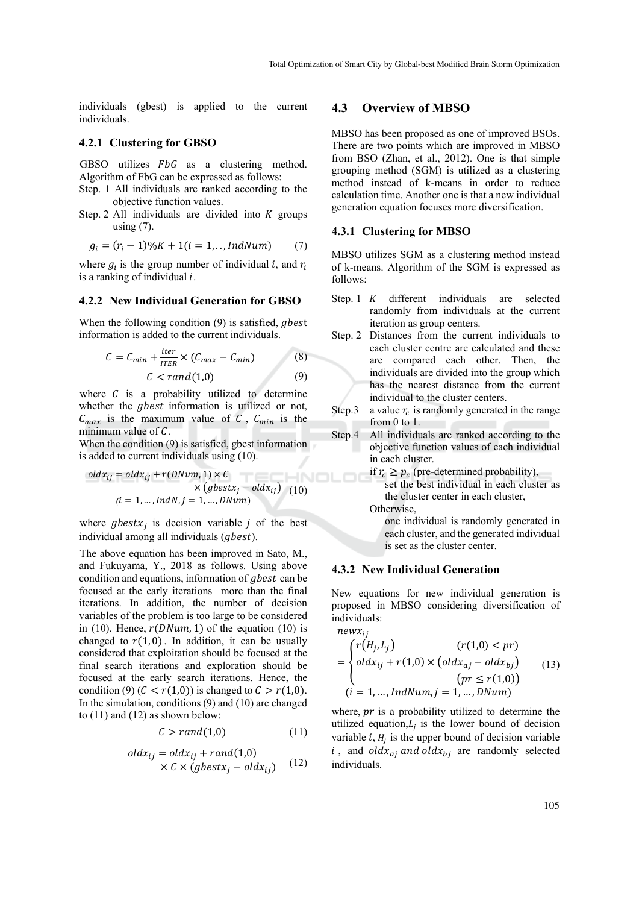individuals (gbest) is applied to the current individuals.

#### **4.2.1 Clustering for GBSO**

GBSO utilizes  $FbG$  as a clustering method. Algorithm of FbG can be expressed as follows:

- Step. 1 All individuals are ranked according to the objective function values.
- Step. 2 All individuals are divided into  $K$  groups using  $(7)$ .

$$
g_i = (r_i - 1) \% K + 1 (i = 1, ..., IndNum)
$$
 (7)

where  $g_i$  is the group number of individual i, and  $r_i$ is a ranking of individual  $i$ .

#### **4.2.2 New Individual Generation for GBSO**

When the following condition  $(9)$  is satisfied, *gbest* information is added to the current individuals.

$$
C = C_{min} + \frac{iter}{ITER} \times (C_{max} - C_{min})
$$
\n
$$
C < rand(1,0)
$$
\n(9)

where  $C$  is a probability utilized to determine whether the *gbest* information is utilized or not,  $C_{max}$  is the maximum value of C,  $C_{min}$  is the minimum value of  $C$ .

When the condition (9) is satisfied, gbest information is added to current individuals using (10).

$$
oldx_{ij} = oldx_{ij} + r(DNum, 1) \times C
$$
  
 
$$
\times (gbestx_j - oldx_{ij})
$$
  
(10)  

$$
(i = 1, ..., IndN, j = 1, ..., DMum)
$$

where  $q$ best $x_i$  is decision variable *i* of the best individual among all individuals (*abest*).

The above equation has been improved in Sato, M., and Fukuyama, Y., 2018 as follows. Using above condition and equations, information of *abest* can be focused at the early iterations more than the final iterations. In addition, the number of decision variables of the problem is too large to be considered in (10). Hence,  $r(DNum, 1)$  of the equation (10) is changed to  $r(1, 0)$ . In addition, it can be usually considered that exploitation should be focused at the final search iterations and exploration should be focused at the early search iterations. Hence, the condition (9)  $(C < r(1,0))$  is changed to  $C > r(1,0)$ . In the simulation, conditions (9) and (10) are changed to  $(11)$  and  $(12)$  as shown below:

$$
C > rand(1,0) \tag{11}
$$

$$
oldx_{ij} = oldx_{ij} + rand(1,0)
$$
  
× C × (gbestx<sub>j</sub> – oldx<sub>ij</sub>) (12)

#### **4.3 Overview of MBSO**

MBSO has been proposed as one of improved BSOs. There are two points which are improved in MBSO from BSO (Zhan, et al., 2012). One is that simple grouping method (SGM) is utilized as a clustering method instead of k-means in order to reduce calculation time. Another one is that a new individual generation equation focuses more diversification.

#### **4.3.1 Clustering for MBSO**

MBSO utilizes SGM as a clustering method instead of k-means. Algorithm of the SGM is expressed as follows:

- Step. 1  $K$  different individuals are selected randomly from individuals at the current iteration as group centers.
- Step. 2 Distances from the current individuals to each cluster centre are calculated and these are compared each other. Then, the individuals are divided into the group which has the nearest distance from the current individual to the cluster centers.
- Step.3 a value  $r_c$  is randomly generated in the range from 0 to 1.
- Step.4 All individuals are ranked according to the objective function values of each individual in each cluster.
	- if  $r_c \geq p_c$  (pre-determined probability), set the best individual in each cluster as the cluster center in each cluster,

Otherwise,

one individual is randomly generated in each cluster, and the generated individual is set as the cluster center.

#### **4.3.2 New Individual Generation**

New equations for new individual generation is proposed in MBSO considering diversification of individuals:  $n\rho_{WY}$ 

$$
= \begin{cases} r(H_j, L_j) & (r(1,0) < pr) \\ oldx_{ij} + r(1,0) \times (oldx_{aj} - oldx_{bj}) & (13) \\ (pr \le r(1,0)) \\ (i = 1, ..., IndNum, j = 1, ..., DMum) \end{cases}
$$

where,  $pr$  is a probability utilized to determine the utilized equation, $L_i$  is the lower bound of decision variable  $i$ ,  $H_i$  is the upper bound of decision variable i, and oldx<sub>aj</sub> and oldx<sub>bj</sub> are randomly selected individuals.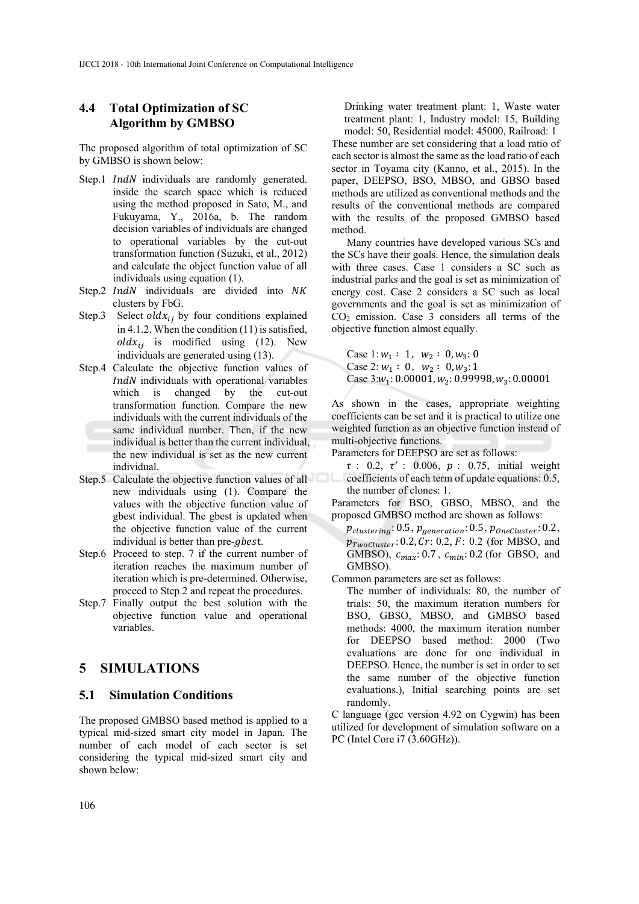## **4.4 Total Optimization of SC Algorithm by GMBSO**

The proposed algorithm of total optimization of SC by GMBSO is shown below:

- Step.1 *IndN* individuals are randomly generated. inside the search space which is reduced using the method proposed in Sato, M., and Fukuyama, Y., 2016a, b. The random decision variables of individuals are changed to operational variables by the cut-out transformation function (Suzuki, et al., 2012) and calculate the object function value of all individuals using equation (1).
- Step.2 IndN individuals are divided into NK clusters by FbG.
- Step.3 Select  $oldx_{ij}$  by four conditions explained in 4.1.2. When the condition (11) is satisfied,  $oldx_{ij}$  is modified using (12). New individuals are generated using (13).
- Step.4 Calculate the objective function values of IndN individuals with operational variables which is changed by the cut-out transformation function. Compare the new individuals with the current individuals of the same individual number. Then, if the new individual is better than the current individual, the new individual is set as the new current individual.
- Step.5 Calculate the objective function values of all new individuals using (1). Compare the values with the objective function value of gbest individual. The gbest is updated when the objective function value of the current individual is better than pre-*gbest*.
- Step.6 Proceed to step. 7 if the current number of iteration reaches the maximum number of iteration which is pre-determined. Otherwise, proceed to Step.2 and repeat the procedures.
- Step.7 Finally output the best solution with the objective function value and operational variables.

## **5 SIMULATIONS**

#### **5.1 Simulation Conditions**

The proposed GMBSO based method is applied to a typical mid-sized smart city model in Japan. The number of each model of each sector is set considering the typical mid-sized smart city and shown below:

Drinking water treatment plant: 1, Waste water treatment plant: 1, Industry model: 15, Building model: 50, Residential model: 45000, Railroad: 1 These number are set considering that a load ratio of each sector is almost the same as the load ratio of each sector in Toyama city (Kanno, et al., 2015). In the paper, DEEPSO, BSO, MBSO, and GBSO based methods are utilized as conventional methods and the results of the conventional methods are compared with the results of the proposed GMBSO based method.

Many countries have developed various SCs and the SCs have their goals. Hence, the simulation deals with three cases. Case 1 considers a SC such as industrial parks and the goal is set as minimization of energy cost. Case 2 considers a SC such as local governments and the goal is set as minimization of  $CO<sub>2</sub>$  emission. Case 3 considers all terms of the objective function almost equally.

Case 1:  $w_1$  : 1,  $w_2$  : 0,  $w_3$ : 0 Case 2:  $w_1$  : 0,  $w_2$  : 0,  $w_3$ : 1 Case  $3:w_1: 0.00001, w_2: 0.99998, w_3: 0.00001$ 

As shown in the cases, appropriate weighting coefficients can be set and it is practical to utilize one weighted function as an objective function instead of multi-objective functions.

Parameters for DEEPSO are set as follows:

 $\tau$  : 0.2,  $\tau'$  : 0.006,  $p$  : 0.75, initial weight coefficients of each term of update equations: 0.5, the number of clones: 1.

Parameters for BSO, GBSO, MBSO, and the proposed GMBSO method are shown as follows:

 $p_{clustering}: 0.5, p_{generation}: 0.5, p_{OneCluster}: 0.2,$  $p_{TwoCluster}$ : 0.2,  $Cr$ : 0.2,  $F$ : 0.2 (for MBSO, and GMBSO),  $c_{max}$ : 0.7,  $c_{min}$ : 0.2 (for GBSO, and GMBSO).

Common parameters are set as follows:

The number of individuals: 80, the number of trials: 50, the maximum iteration numbers for BSO, GBSO, MBSO, and GMBSO based methods: 4000, the maximum iteration number for DEEPSO based method: 2000 (Two evaluations are done for one individual in DEEPSO. Hence, the number is set in order to set the same number of the objective function evaluations.), Initial searching points are set randomly.

C language (gcc version 4.92 on Cygwin) has been utilized for development of simulation software on a PC (Intel Core i7 (3.60GHz)).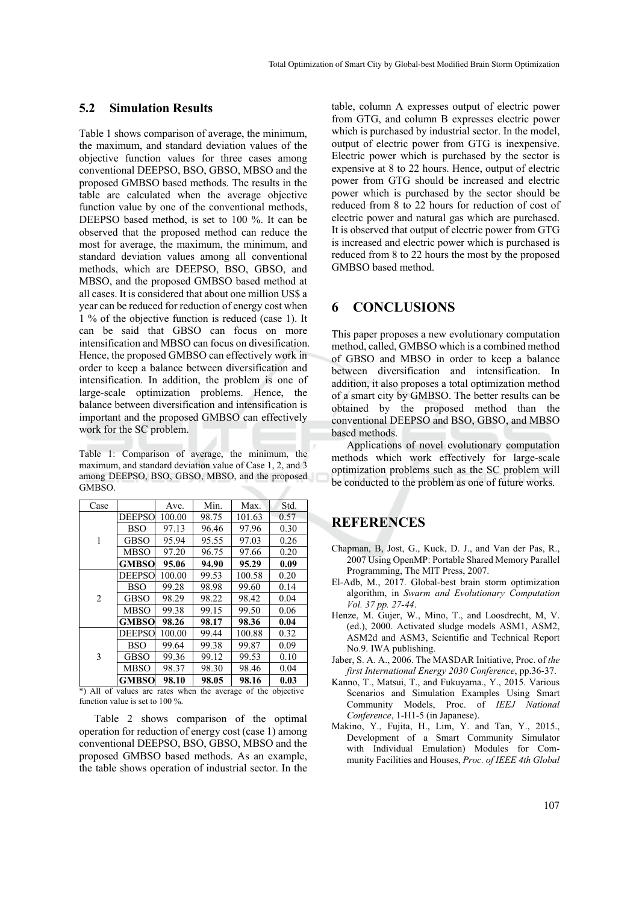#### **5.2 Simulation Results**

Table 1 shows comparison of average, the minimum, the maximum, and standard deviation values of the objective function values for three cases among conventional DEEPSO, BSO, GBSO, MBSO and the proposed GMBSO based methods. The results in the table are calculated when the average objective function value by one of the conventional methods, DEEPSO based method, is set to 100 %. It can be observed that the proposed method can reduce the most for average, the maximum, the minimum, and standard deviation values among all conventional methods, which are DEEPSO, BSO, GBSO, and MBSO, and the proposed GMBSO based method at all cases. It is considered that about one million US\$ a year can be reduced for reduction of energy cost when 1 % of the objective function is reduced (case 1). It can be said that GBSO can focus on more intensification and MBSO can focus on divesification. Hence, the proposed GMBSO can effectively work in order to keep a balance between diversification and intensification. In addition, the problem is one of large-scale optimization problems. Hence, the balance between diversification and intensification is important and the proposed GMBSO can effectively work for the SC problem.

Table 1: Comparison of average, the minimum, the maximum, and standard deviation value of Case 1, 2, and 3 among DEEPSO, BSO, GBSO, MBSO, and the proposed GMBSO.

| Case           |               | Ave.   | Min.  | Max.   | Std. |
|----------------|---------------|--------|-------|--------|------|
| 1              | <b>DEEPSO</b> | 100.00 | 98.75 | 101.63 | 0.57 |
|                | BSO           | 97.13  | 96.46 | 97.96  | 0.30 |
|                | <b>GBSO</b>   | 95.94  | 95.55 | 97.03  | 0.26 |
|                | <b>MBSO</b>   | 97.20  | 96.75 | 97.66  | 0.20 |
|                | <b>GMBSO</b>  | 95.06  | 94.90 | 95.29  | 0.09 |
| $\overline{2}$ | <b>DEEPSO</b> | 100.00 | 99.53 | 100.58 | 0.20 |
|                | BSO           | 99.28  | 98.98 | 99.60  | 0.14 |
|                | <b>GBSO</b>   | 98.29  | 98.22 | 98.42  | 0.04 |
|                | <b>MBSO</b>   | 99.38  | 99.15 | 99.50  | 0.06 |
|                | <b>GMBSO</b>  | 98.26  | 98.17 | 98.36  | 0.04 |
|                | <b>DEEPSO</b> | 100.00 | 99.44 | 100.88 | 0.32 |
| 3              | BSO           | 99.64  | 99.38 | 99.87  | 0.09 |
|                | <b>GBSO</b>   | 99.36  | 99.12 | 99.53  | 0.10 |
|                | <b>MBSO</b>   | 98.37  | 98.30 | 98.46  | 0.04 |
|                | <b>GMBSO</b>  | 98.10  | 98.05 | 98.16  | 0.03 |

\*) All of values are rates when the average of the objective function value is set to 100 %.

Table 2 shows comparison of the optimal operation for reduction of energy cost (case 1) among conventional DEEPSO, BSO, GBSO, MBSO and the proposed GMBSO based methods. As an example, the table shows operation of industrial sector. In the

table, column A expresses output of electric power from GTG, and column B expresses electric power which is purchased by industrial sector. In the model, output of electric power from GTG is inexpensive. Electric power which is purchased by the sector is expensive at 8 to 22 hours. Hence, output of electric power from GTG should be increased and electric power which is purchased by the sector should be reduced from 8 to 22 hours for reduction of cost of electric power and natural gas which are purchased. It is observed that output of electric power from GTG is increased and electric power which is purchased is reduced from 8 to 22 hours the most by the proposed GMBSO based method.

## **6 CONCLUSIONS**

This paper proposes a new evolutionary computation method, called, GMBSO which is a combined method of GBSO and MBSO in order to keep a balance between diversification and intensification. In addition, it also proposes a total optimization method of a smart city by GMBSO. The better results can be obtained by the proposed method than the conventional DEEPSO and BSO, GBSO, and MBSO based methods.

Applications of novel evolutionary computation methods which work effectively for large-scale optimization problems such as the SC problem will be conducted to the problem as one of future works.

## **REFERENCES**

- Chapman, B, Jost, G., Kuck, D. J., and Van der Pas, R., 2007 Using OpenMP: Portable Shared Memory Parallel Programming, The MIT Press, 2007.
- El-Adb, M., 2017. Global-best brain storm optimization algorithm, in *Swarm and Evolutionary Computation Vol. 37 pp. 27-44*.
- Henze, M. Gujer, W., Mino, T., and Loosdrecht, M, V. (ed.), 2000. Activated sludge models ASM1, ASM2, ASM2d and ASM3, Scientific and Technical Report No.9. IWA publishing.
- Jaber, S. A. A., 2006. The MASDAR Initiative, Proc. of *the first International Energy 2030 Conference*, pp.36-37.
- Kanno, T., Matsui, T., and Fukuyama., Y., 2015. Various Scenarios and Simulation Examples Using Smart Community Models, Proc. of *IEEJ National Conference*, 1-H1-5 (in Japanese).
- Makino, Y., Fujita, H., Lim, Y. and Tan, Y., 2015., Development of a Smart Community Simulator with Individual Emulation) Modules for Community Facilities and Houses, *Proc. of IEEE 4th Global*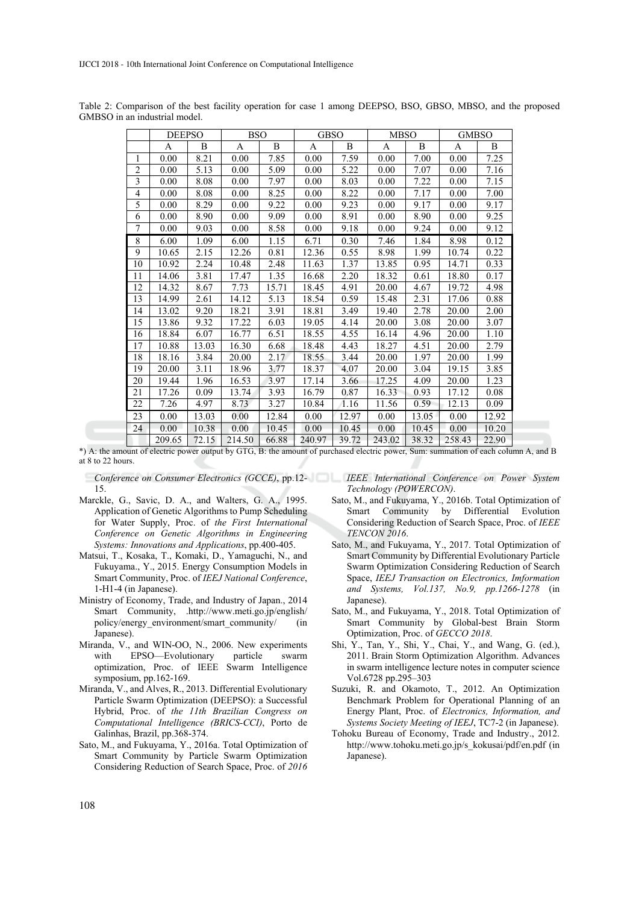|                         | <b>DEEPSO</b> |       | <b>BSO</b> |                | <b>GBSO</b> |                | <b>MBSO</b> |       | <b>GMBSO</b> |       |
|-------------------------|---------------|-------|------------|----------------|-------------|----------------|-------------|-------|--------------|-------|
|                         | A             | B     | A          | $\overline{B}$ | A           | $\overline{B}$ | A           | B     | A            | B     |
| 1                       | 0.00          | 8.21  | 0.00       | 7.85           | 0.00        | 7.59           | 0.00        | 7.00  | 0.00         | 7.25  |
| $\overline{c}$          | 0.00          | 5.13  | 0.00       | 5.09           | 0.00        | 5.22           | 0.00        | 7.07  | 0.00         | 7.16  |
| $\overline{\mathbf{3}}$ | 0.00          | 8.08  | 0.00       | 7.97           | 0.00        | 8.03           | 0.00        | 7.22  | 0.00         | 7.15  |
| 4                       | 0.00          | 8.08  | 0.00       | 8.25           | 0.00        | 8.22           | 0.00        | 7.17  | 0.00         | 7.00  |
| 5                       | 0.00          | 8.29  | 0.00       | 9.22           | 0.00        | 9.23           | 0.00        | 9.17  | 0.00         | 9.17  |
| 6                       | 0.00          | 8.90  | 0.00       | 9.09           | 0.00        | 8.91           | 0.00        | 8.90  | 0.00         | 9.25  |
| $\boldsymbol{7}$        | 0.00          | 9.03  | 0.00       | 8.58           | 0.00        | 9.18           | 0.00        | 9.24  | 0.00         | 9.12  |
| 8                       | 6.00          | 1.09  | 6.00       | 1.15           | 6.71        | 0.30           | 7.46        | 1.84  | 8.98         | 0.12  |
| 9                       | 10.65         | 2.15  | 12.26      | 0.81           | 12.36       | 0.55           | 8.98        | 1.99  | 10.74        | 0.22  |
| 10                      | 10.92         | 2.24  | 10.48      | 2.48           | 11.63       | 1.37           | 13.85       | 0.95  | 14.71        | 0.33  |
| 11                      | 14.06         | 3.81  | 17.47      | 1.35           | 16.68       | 2.20           | 18.32       | 0.61  | 18.80        | 0.17  |
| 12                      | 14.32         | 8.67  | 7.73       | 15.71          | 18.45       | 4.91           | 20.00       | 4.67  | 19.72        | 4.98  |
| 13                      | 14.99         | 2.61  | 14.12      | 5.13           | 18.54       | 0.59           | 15.48       | 2.31  | 17.06        | 0.88  |
| 14                      | 13.02         | 9.20  | 18.21      | 3.91           | 18.81       | 3.49           | 19.40       | 2.78  | 20.00        | 2.00  |
| 15                      | 13.86         | 9.32  | 17.22      | 6.03           | 19.05       | 4.14           | 20.00       | 3.08  | 20.00        | 3.07  |
| 16                      | 18.84         | 6.07  | 16.77      | 6.51           | 18.55       | 4.55           | 16.14       | 4.96  | 20.00        | 1.10  |
| 17                      | 10.88         | 13.03 | 16.30      | 6.68           | 18.48       | 4.43           | 18.27       | 4.51  | 20.00        | 2.79  |
| 18                      | 18.16         | 3.84  | 20.00      | 2.17           | 18.55       | 3.44           | 20.00       | 1.97  | 20.00        | 1.99  |
| 19                      | 20.00         | 3.11  | 18.96      | 3.77           | 18.37       | 4.07           | 20.00       | 3.04  | 19.15        | 3.85  |
| 20                      | 19.44         | 1.96  | 16.53      | 3.97           | 17.14       | 3.66           | 17.25       | 4.09  | 20.00        | 1.23  |
| 21                      | 17.26         | 0.09  | 13.74      | 3.93           | 16.79       | 0.87           | 16.33       | 0.93  | 17.12        | 0.08  |
| 22                      | 7.26          | 4.97  | 8.73       | 3.27           | 10.84       | 1.16           | 11.56       | 0.59  | 12.13        | 0.09  |
| 23                      | 0.00          | 13.03 | 0.00       | 12.84          | 0.00        | 12.97          | 0.00        | 13.05 | 0.00         | 12.92 |
| 24                      | 0.00          | 10.38 | 0.00       | 10.45          | 0.00        | 10.45          | 0.00        | 10.45 | 0.00         | 10.20 |
|                         | 209.65        | 72.15 | 214.50     | 66.88          | 240.97      | 39.72          | 243.02      | 38.32 | 258.43       | 22.90 |

Table 2: Comparison of the best facility operation for case 1 among DEEPSO, BSO, GBSO, MBSO, and the proposed GMBSO in an industrial model.

\*) A: the amount of electric power output by GTG, B: the amount of purchased electric power, Sum: summation of each column A, and B at 8 to 22 hours.

15.

- Marckle, G., Savic, D. A., and Walters, G. A., 1995. Application of Genetic Algorithms to Pump Scheduling for Water Supply, Proc. of *the First International Conference on Genetic Algorithms in Engineering Systems: Innovations and Applications*, pp.400-405.
- Matsui, T., Kosaka, T., Komaki, D., Yamaguchi, N., and Fukuyama., Y., 2015. Energy Consumption Models in Smart Community, Proc. of *IEEJ National Conference*, 1-H1-4 (in Japanese).
- Ministry of Economy, Trade, and Industry of Japan., 2014 Smart Community, .http://www.meti.go.jp/english/ policy/energy\_environment/smart\_community/ (in Japanese).
- Miranda, V., and WIN-OO, N., 2006. New experiments with EPSO—Evolutionary particle swarm optimization, Proc. of IEEE Swarm Intelligence symposium, pp.162-169.
- Miranda, V., and Alves, R., 2013. Differential Evolutionary Particle Swarm Optimization (DEEPSO): a Successful Hybrid, Proc. of *the 11th Brazilian Congress on Computational Intelligence (BRICS-CCI)*, Porto de Galinhas, Brazil, pp.368-374.
- Sato, M., and Fukuyama, Y., 2016a. Total Optimization of Smart Community by Particle Swarm Optimization Considering Reduction of Search Space, Proc. of *2016*

*Conference on Consumer Electronics (GCCE)*, pp.12- *IEEE International Conference on Power System Technology (POWERCON)*.

- Sato, M., and Fukuyama, Y., 2016b. Total Optimization of Smart Community by Differential Evolution Considering Reduction of Search Space, Proc. of *IEEE TENCON 2016*.
- Sato, M., and Fukuyama, Y., 2017. Total Optimization of Smart Community by Differential Evolutionary Particle Swarm Optimization Considering Reduction of Search Space, *IEEJ Transaction on Electronics, Imformation and Systems, Vol.137, No.9, pp.1266-1278* (in Japanese).
- Sato, M., and Fukuyama, Y., 2018. Total Optimization of Smart Community by Global-best Brain Storm Optimization, Proc. of *GECCO 2018*.
- Shi, Y., Tan, Y., Shi, Y., Chai, Y., and Wang, G. (ed.), 2011. Brain Storm Optimization Algorithm. Advances in swarm intelligence lecture notes in computer science Vol.6728 pp.295–303
- Suzuki, R. and Okamoto, T., 2012. An Optimization Benchmark Problem for Operational Planning of an Energy Plant, Proc. of *Electronics, Information, and Systems Society Meeting of IEEJ*, TC7-2 (in Japanese).
- Tohoku Bureau of Economy, Trade and Industry., 2012. http://www.tohoku.meti.go.jp/s\_kokusai/pdf/en.pdf (in Japanese).